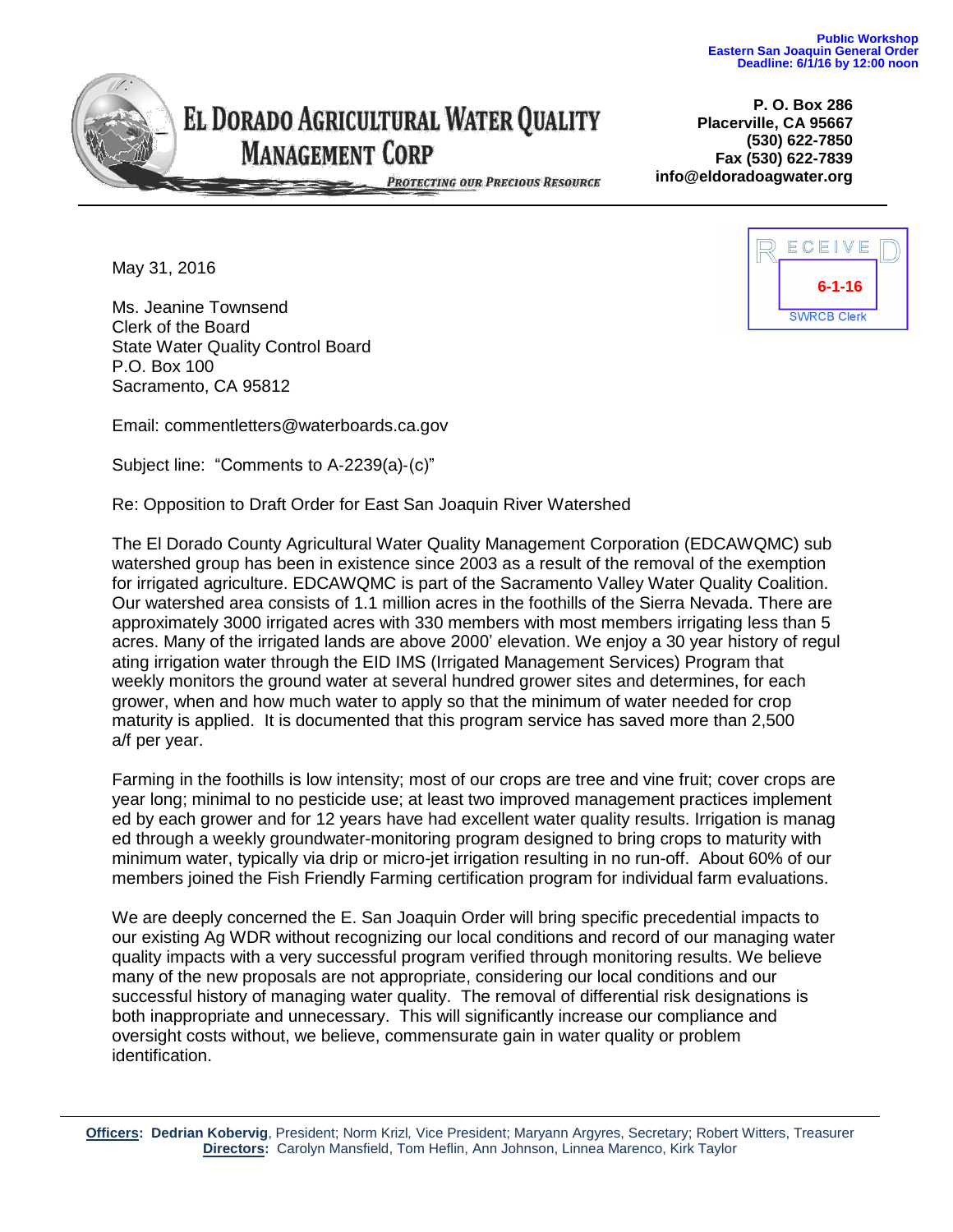

## EL DORADO AGRICULTURAL WATER QUALITY **MANAGEMENT CORP**

**P. O. Box 286 Placerville, CA 95667 (530) 622-7850 Fax (530) 622-7839 info@eldoradoagwater.org**

PROTECTING OUR PRECIOUS RESOURCE

May 31, 2016

Ms. Jeanine Townsend Clerk of the Board State Water Quality Control Board P.O. Box 100 Sacramento, CA 95812

Email: commentletters@waterboards.ca.gov

Subject line: "Comments to A‐2239(a)‐(c)"

Re: Opposition to Draft Order for East San Joaquin River Watershed

The El Dorado County Agricultural Water Quality Management Corporation (EDCAWQMC) sub watershed group has been in existence since 2003 as a result of the removal of the exemption for irrigated agriculture. EDCAWQMC is part of the Sacramento Valley Water Quality Coalition. Our watershed area consists of 1.1 million acres in the foothills of the Sierra Nevada. There are approximately 3000 irrigated acres with 330 members with most members irrigating less than 5 acres. Many of the irrigated lands are above 2000' elevation. We enjoy a 30 year history of regul ating irrigation water through the EID IMS (Irrigated Management Services) Program that weekly monitors the ground water at several hundred grower sites and determines, for each grower, when and how much water to apply so that the minimum of water needed for crop maturity is applied. It is documented that this program service has saved more than 2,500 a/f per year.

Farming in the foothills is low intensity; most of our crops are tree and vine fruit; cover crops are year long; minimal to no pesticide use; at least two improved management practices implement ed by each grower and for 12 years have had excellent water quality results. Irrigation is manag ed through a weekly groundwater-monitoring program designed to bring crops to maturity with minimum water, typically via drip or micro-jet irrigation resulting in no run-off. About 60% of our members joined the Fish Friendly Farming certification program for individual farm evaluations.

We are deeply concerned the E. San Joaquin Order will bring specific precedential impacts to our existing Ag WDR without recognizing our local conditions and record of our managing water quality impacts with a very successful program verified through monitoring results. We believe many of the new proposals are not appropriate, considering our local conditions and our successful history of managing water quality. The removal of differential risk designations is both inappropriate and unnecessary. This will significantly increase our compliance and oversight costs without, we believe, commensurate gain in water quality or problem identification.



**Officers: Dedrian Kobervig**, President; Norm Krizl*,* Vice President; Maryann Argyres, Secretary; Robert Witters, Treasurer **Directors:** Carolyn Mansfield, Tom Heflin, Ann Johnson, Linnea Marenco, Kirk Taylor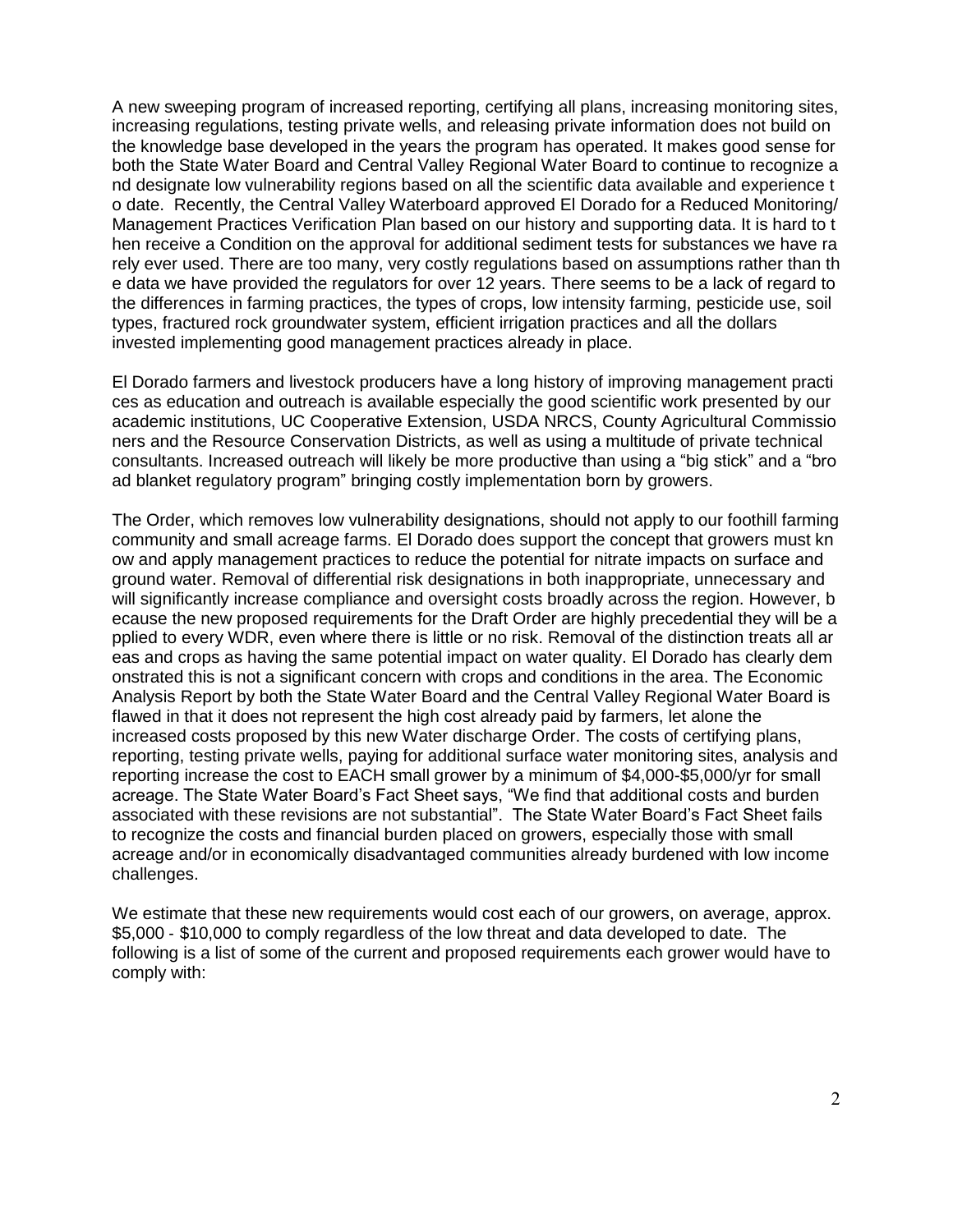A new sweeping program of increased reporting, certifying all plans, increasing monitoring sites, increasing regulations, testing private wells, and releasing private information does not build on the knowledge base developed in the years the program has operated. It makes good sense for both the State Water Board and Central Valley Regional Water Board to continue to recognize a nd designate low vulnerability regions based on all the scientific data available and experience t o date. Recently, the Central Valley Waterboard approved El Dorado for a Reduced Monitoring/ Management Practices Verification Plan based on our history and supporting data. It is hard to t hen receive a Condition on the approval for additional sediment tests for substances we have ra rely ever used. There are too many, very costly regulations based on assumptions rather than th e data we have provided the regulators for over 12 years. There seems to be a lack of regard to the differences in farming practices, the types of crops, low intensity farming, pesticide use, soil types, fractured rock groundwater system, efficient irrigation practices and all the dollars invested implementing good management practices already in place.

El Dorado farmers and livestock producers have a long history of improving management practi ces as education and outreach is available especially the good scientific work presented by our academic institutions, UC Cooperative Extension, USDA NRCS, County Agricultural Commissio ners and the Resource Conservation Districts, as well as using a multitude of private technical consultants. Increased outreach will likely be more productive than using a "big stick" and a "bro ad blanket regulatory program" bringing costly implementation born by growers.

The Order, which removes low vulnerability designations, should not apply to our foothill farming community and small acreage farms. El Dorado does support the concept that growers must kn ow and apply management practices to reduce the potential for nitrate impacts on surface and ground water. Removal of differential risk designations in both inappropriate, unnecessary and will significantly increase compliance and oversight costs broadly across the region. However, b ecause the new proposed requirements for the Draft Order are highly precedential they will be a pplied to every WDR, even where there is little or no risk. Removal of the distinction treats all ar eas and crops as having the same potential impact on water quality. El Dorado has clearly dem onstrated this is not a significant concern with crops and conditions in the area. The Economic Analysis Report by both the State Water Board and the Central Valley Regional Water Board is flawed in that it does not represent the high cost already paid by farmers, let alone the increased costs proposed by this new Water discharge Order. The costs of certifying plans, reporting, testing private wells, paying for additional surface water monitoring sites, analysis and reporting increase the cost to EACH small grower by a minimum of \$4,000-\$5,000/yr for small acreage. The State Water Board's Fact Sheet says, "We find that additional costs and burden associated with these revisions are not substantial". The State Water Board's Fact Sheet fails to recognize the costs and financial burden placed on growers, especially those with small acreage and/or in economically disadvantaged communities already burdened with low income challenges.

We estimate that these new requirements would cost each of our growers, on average, approx. \$5,000 ‐ \$10,000 to comply regardless of the low threat and data developed to date. The following is a list of some of the current and proposed requirements each grower would have to comply with: